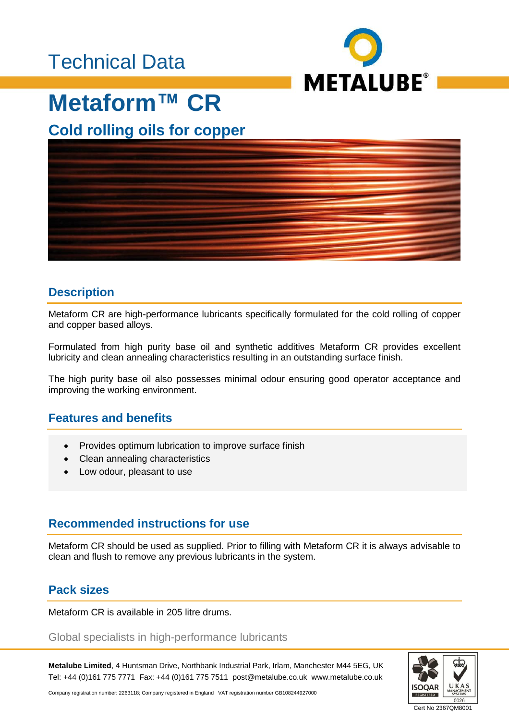### Technical Data



## **Metaform™ CR**

### **Cold rolling oils for copper**



#### **Description**

Metaform CR are high-performance lubricants specifically formulated for the cold rolling of copper and copper based alloys.

Formulated from high purity base oil and synthetic additives Metaform CR provides excellent lubricity and clean annealing characteristics resulting in an outstanding surface finish.

The high purity base oil also possesses minimal odour ensuring good operator acceptance and improving the working environment.

#### **Features and benefits**

- Provides optimum lubrication to improve surface finish
- Clean annealing characteristics
- Low odour, pleasant to use

#### **Recommended instructions for use**

Metaform CR should be used as supplied. Prior to filling with Metaform CR it is always advisable to clean and flush to remove any previous lubricants in the system.

#### **Pack sizes**

Metaform CR is available in 205 litre drums.

#### Global specialists in high-performance lubricants

**Metalube Limited**, 4 Huntsman Drive, Northbank Industrial Park, Irlam, Manchester M44 5EG, UK Tel: +44 (0)161 775 7771 Fax: +44 (0)161 775 7511 post@metalube.co.uk www.metalube.co.uk



Company registration number: 2263118; Company registered in England VAT registration number GB108244927000

Cert No 2367QM8001